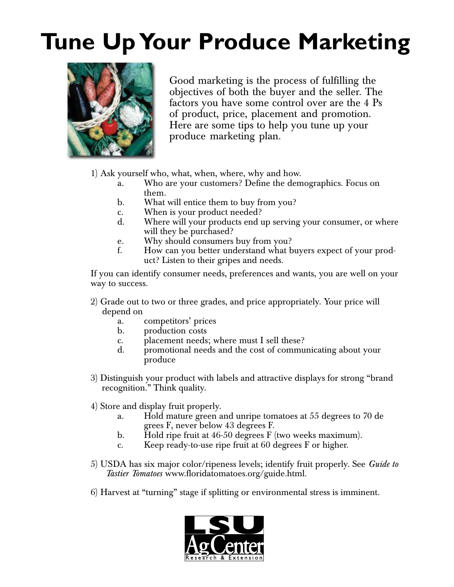## **Tune Up Your Produce Marketing**



Good marketing is the process of fulfilling the objectives of both the buyer and the seller. The factors you have some control over are the 4 Ps of product, price, placement and promotion. Here are some tips to help you tune up your produce marketing plan.

1) Ask yourself who, what, when, where, why and how.

- a. Who are your customers? Define the demographics. Focus on them.
- b. What will entice them to buy from you?
- c. When is your product needed?
- d. Where will your products end up serving your consumer, or where will they be purchased?
- e. Why should consumers buy from you?<br>f. How can you better understand what h
- How can you better understand what buyers expect of your product? Listen to their gripes and needs.

If you can identify consumer needs, preferences and wants, you are well on your way to success.

- 2) Grade out to two or three grades, and price appropriately. Your price will depend on
	- a. competitors' prices
	- b. production costs
	- c. placement needs; where must I sell these?
	- d. promotional needs and the cost of communicating about your produce
- 3) Distinguish your product with labels and attractive displays for strong "brand recognition." Think quality.
- 4) Store and display fruit properly.
	- a. Hold mature green and unripe tomatoes at 55 degrees to 70 de grees F, never below 43 degrees F.
	- b. Hold ripe fruit at 46-50 degrees F (two weeks maximum).
	- c. Keep ready-to-use ripe fruit at 60 degrees F or higher.
- 5) USDA has six major color/ripeness levels; identify fruit properly. See *Guide to Tastier Tomatoes* www.floridatomatoes.org/guide.html.
- 6) Harvest at "turning" stage if splitting or environmental stress is imminent.